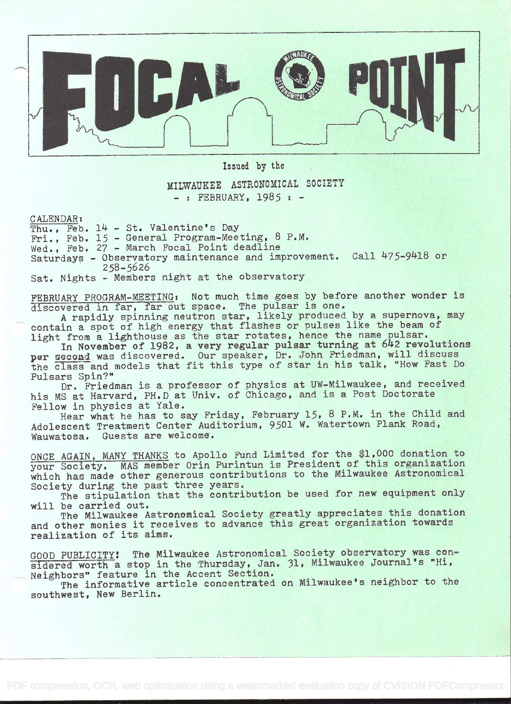

Issued by the

## MILWAUKEE ASTRONOMICAL SOCIETY  $-$ : FEBRUARY. 1985 :  $-$

CALENDAR:

Thu., Feb.  $14$  - St. Valentine's Day Fri., Feb. 15 - General Program-Meeting, 8 P.M, Wed., Feb. 27 - March Focal Point deadline Saturdays - Observatory maintenance and improvement. Call 475-9418 or 258-5626

Sat. Nights - Members night at the observatory

FEBRUARY PROGRAM-MEETING: Not much time goes by before another wonder is discovered in far, far out space. The pulsar is one.

A rapidly spinning neutron star, likely produced by a supernova, may contain a spot of high energy that flashes or pulses like the beam of light from a lighthouse as the star rotates, hence the name pulsar.

In November of 1982, a very regular pulsar turning at 642 revolutions per second was discovered. Our speaker, Dr. John Friedman, will discuss the class and models that fit this type of star in his talk, "How Fast Do Pulsars Spin?"

Dr. Friedman is a professor of physics at UW-Milwaukee, and received his MS at Harvard, PH.D at Univ. of Chicago, and is a Post Doctorate Fellow in physics at Yale.

Hear what he has to say Friday, February 15, 8 P.M. in the Child and Adolescent Treatment Center Auditorium, 9501 W. Watertown Plank Road, Wauwatosa. Guests are welcome.

ONCE AGAIN, MANY THANKS to Apollo Fund Limited for the \$1,000 donation to your Society. MAS member Orin Purintun is President of this organization which has made other generous contributions to the Milwaukee Astronomical Society during the past three years.

The stipulation that the contribution be used for new equipment only will be carried out.

The Milwaukee Astronomical Society greatly appreciates this donation and other monies it receives to advance this great organization towards realization of its aims.

GOOD PUBLICITY! The Milwaukee Astronomical Society observatory was considered worth a stop in the Thursday, Jan. 31, Milwaukee Journal's "Hi, Neighbors' feature in the Accent Section.

The informative article concentrated on Milwaukee's neighbor to the southwest, New Berlin.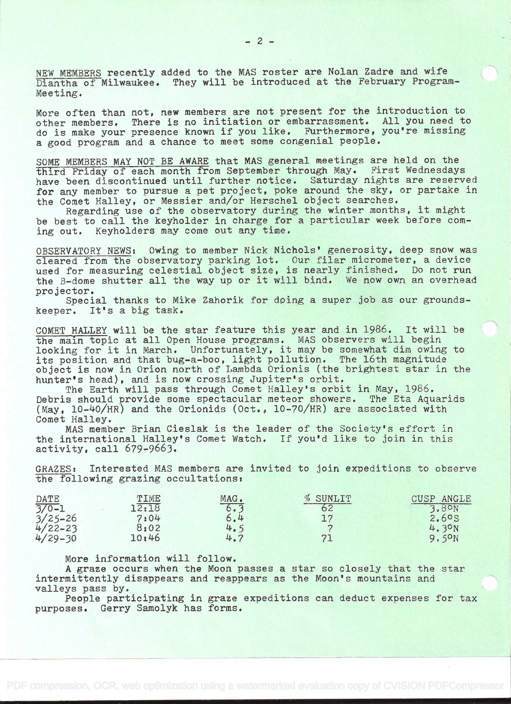NEW MEMBERS recently added to the MAS roster are Nolan Zadre and wife Diantha of Milwaukee. They will be introduced at the February Program-Meeting.

More often than not, new members are not present for the introduction to other members. There is no initiation or embarrassment. All you need to do is make your presence known 1f you like. Furthermore, you're missing <sup>a</sup>good program and a chance to meet some congenial people.

SOME MEMBERS MAY NOT BE AWARE that MAS general meetings are held on the third Friday of each month from September through May. First Wednesdays have been discontinued until further notice. Saturday nights are reserved for any member to pursue a pet project, poke around the sky, or partake in the Comet Halley, or Messier and/or Herschel object searches.

Regarding use of the observatory during the winter months, it might be best to call the keyholder in charge for a particular week before coming out. Keyholders may come out any time.

OBSERVATORY NEWS: Owing to member Nick Nichols' generosity, deep snow was cleared from the observatory parking lot. Our filar micrometer, a device used for measuring celestial object size, is nearly finished. Do not run the B-dome shutter all the way up or it will bind. We now own an overhead projector.

Special thanks to Mike Zahorik for doing a super job as our groundskeeper. It's a big task.

COMET HALLEY will be the star feature this year and in 1986. It will be the main topic at all Open House programs. MAS observers will begin looking for it in March. Unfortunately, it may be somewhat dim owing to its position and that bug-a-boo, light pollution. The 16th magnitude object is now in Orion north of Lambda Orionis (the brightest star in the hunter's head), and is now crossing Jupiter's orbit.

The Earth will pass through Comet Halley's orbit in May, 1986. Debris should provide some spectacular meteor showers. The Eta Aquarids (May,  $10-40/HR$ ) and the Orionids (Oct.,  $10-70/HR$ ) are associated with Comet Halley.

MAS member Brian Cieslak is the leader of the Society's effort in the international Halley's Comet Watch. If you'd like to join in this activity, call 679-9663.

GRAZES: Interested MAS members are invited to join expeditions to observe the following grazing occultations:

| DATE                                                          | TIME  | MAG.         | % SUNLIT | <b>CUSP</b><br>ANGLE |
|---------------------------------------------------------------|-------|--------------|----------|----------------------|
|                                                               | 12:18 | 6.3          | 62       | 3.8 <sup>o</sup> N   |
|                                                               | 7:04  | 6.4          |          | 2.6°S                |
|                                                               | 8:02  |              |          | 4.30N                |
| $\frac{7}{3}/25-26$<br>$\frac{4}{22}-23$<br>$\frac{4}{29}-30$ | 10:46 | $4.5$<br>4.7 |          | 9,5 <sup>o</sup> N   |

More information will follow.

<sup>A</sup>graze occurs when the Moon passes a star so closely that the star intermittently disappears and reappears as the Moon's mountains and valleys pass by.

People participating in graze expeditions can deduct expenses for tax purposes. Gerry Samolyk has forms.